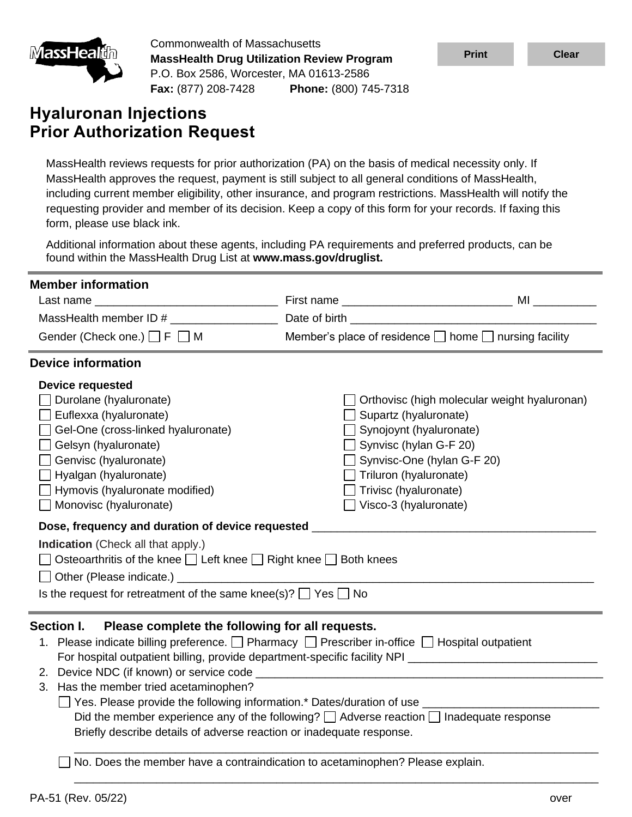

Commonwealth of Massachusetts **MassHealth Drug Utilization Review Program** P.O. Box 2586, Worcester, MA 01613-2586 **Fax:** (877) 208-7428 **Phone:** (800) 745-7318

# **Hyaluronan Injections Prior Authorization Request**

| <u>imassHealun</u>                                                                                                                                                                                                              | <b>MassHealth Drug Utilization Review Program</b><br>P.O. Box 2586, Worcester, MA 01613-2586<br>Fax: (877) 208-7428 Phone: (800) 745-7318                   |                                                                                                                                                                                                                                                                                                                                                                                                                                                                      | <b>Print</b>                                 | <b>Clear</b> |
|---------------------------------------------------------------------------------------------------------------------------------------------------------------------------------------------------------------------------------|-------------------------------------------------------------------------------------------------------------------------------------------------------------|----------------------------------------------------------------------------------------------------------------------------------------------------------------------------------------------------------------------------------------------------------------------------------------------------------------------------------------------------------------------------------------------------------------------------------------------------------------------|----------------------------------------------|--------------|
|                                                                                                                                                                                                                                 |                                                                                                                                                             |                                                                                                                                                                                                                                                                                                                                                                                                                                                                      |                                              |              |
| <b>Hyaluronan Injections</b>                                                                                                                                                                                                    | <b>Prior Authorization Request</b>                                                                                                                          |                                                                                                                                                                                                                                                                                                                                                                                                                                                                      |                                              |              |
| form, please use black ink.                                                                                                                                                                                                     |                                                                                                                                                             | MassHealth reviews requests for prior authorization (PA) on the basis of medical necessity only. If<br>MassHealth approves the request, payment is still subject to all general conditions of MassHealth,<br>including current member eligibility, other insurance, and program restrictions. MassHealth will notify the<br>requesting provider and member of its decision. Keep a copy of this form for your records. If faxing this                                |                                              |              |
|                                                                                                                                                                                                                                 | found within the MassHealth Drug List at www.mass.gov/druglist.                                                                                             | Additional information about these agents, including PA requirements and preferred products, can be                                                                                                                                                                                                                                                                                                                                                                  |                                              |              |
| <b>Member information</b>                                                                                                                                                                                                       | Gender (Check one.) $\Box$ F $\Box$ M                                                                                                                       | MassHealth member ID # Date of birth<br>Member's place of residence □ home □ nursing facility                                                                                                                                                                                                                                                                                                                                                                        |                                              |              |
| <b>Device information</b>                                                                                                                                                                                                       |                                                                                                                                                             |                                                                                                                                                                                                                                                                                                                                                                                                                                                                      |                                              |              |
| <b>Device requested</b><br>Durolane (hyaluronate)<br>$\Box$ Euflexxa (hyaluronate)<br>Gelsyn (hyaluronate)<br>Genvisc (hyaluronate)<br>$\Box$ Hyalgan (hyaluronate)<br>Hymovis (hyaluronate modified)<br>Monovisc (hyaluronate) | Gel-One (cross-linked hyaluronate)                                                                                                                          | $\Box$ Supartz (hyaluronate)<br>$\Box$ Synojoynt (hyaluronate)<br>$\Box$ Synvisc (hylan G-F 20)<br>Synvisc-One (hylan G-F 20)<br>$\Box$ Triluron (hyaluronate)<br>Trivisc (hyaluronate)<br>$\Box$ Visco-3 (hyaluronate)                                                                                                                                                                                                                                              | Orthovisc (high molecular weight hyaluronan) |              |
| <b>Indication</b> (Check all that apply.)                                                                                                                                                                                       | Osteoarthritis of the knee $\Box$ Left knee $\Box$ Right knee $\Box$ Both knees<br>Is the request for retreatment of the same knee(s)? $\Box$ Yes $\Box$ No | Dose, frequency and duration of device requested _______________________________                                                                                                                                                                                                                                                                                                                                                                                     |                                              |              |
| Section I.                                                                                                                                                                                                                      | Please complete the following for all requests.<br>3. Has the member tried acetaminophen?                                                                   | 1. Please indicate billing preference. D Pharmacy D Prescriber in-office D Hospital outpatient<br>□ Yes. Please provide the following information.* Dates/duration of use ___________________________<br>Did the member experience any of the following? $\Box$ Adverse reaction $\Box$ Inadequate response<br>Briefly describe details of adverse reaction or inadequate response.<br>No. Does the member have a contraindication to acetaminophen? Please explain. |                                              |              |
|                                                                                                                                                                                                                                 |                                                                                                                                                             |                                                                                                                                                                                                                                                                                                                                                                                                                                                                      |                                              |              |
| PA-51 (Rev. 05/22)                                                                                                                                                                                                              |                                                                                                                                                             |                                                                                                                                                                                                                                                                                                                                                                                                                                                                      |                                              | over         |